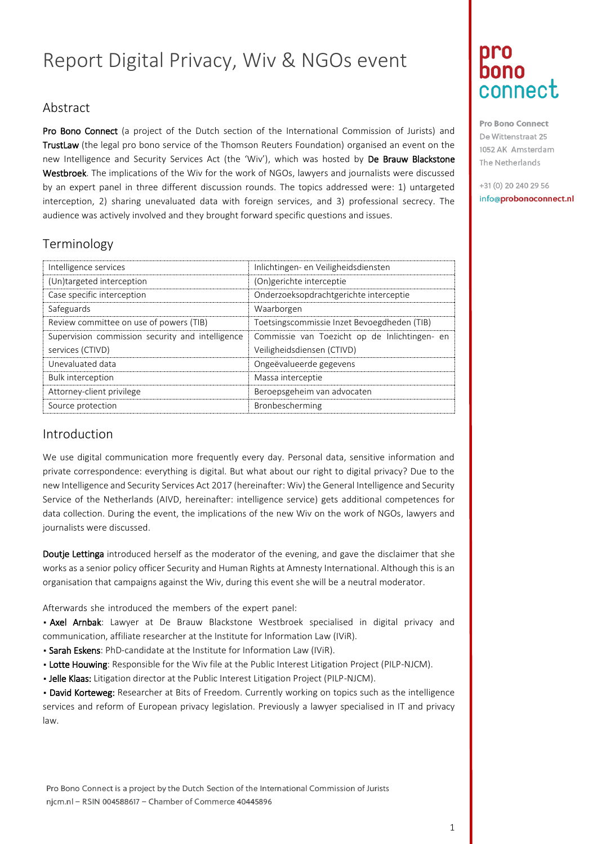# Report Digital Privacy, Wiv & NGOs event

### Abstract

Pro Bono Connect (a project of the Dutch section of the International Commission of Jurists) and TrustLaw (the legal pro bono service of the Thomson Reuters Foundation) organised an event on the new Intelligence and Security Services Act (the 'Wiv'), which was hosted by De Brauw Blackstone Westbroek. The implications of the Wiv for the work of NGOs, lawyers and journalists were discussed by an expert panel in three different discussion rounds. The topics addressed were: 1) untargeted interception, 2) sharing unevaluated data with foreign services, and 3) professional secrecy. The audience was actively involved and they brought forward specific questions and issues.

### Terminology

| Intelligence services                            | Inlichtingen- en Veiligheidsdiensten          |
|--------------------------------------------------|-----------------------------------------------|
| (Un)targeted interception                        | (On)gerichte interceptie                      |
| Case specific interception                       | Onderzoeksopdrachtgerichte interceptie        |
| Safeguards                                       | Waarborgen                                    |
| Review committee on use of powers (TIB)          | Toetsingscommissie Inzet Bevoegdheden (TIB)   |
| Supervision commission security and intelligence | Commissie van Toezicht op de Inlichtingen- en |
| services (CTIVD)                                 | Veiligheidsdiensen (CTIVD)                    |
| Unevaluated data                                 | Ongeëvalueerde gegevens                       |
| <b>Bulk interception</b>                         | Massa interceptie                             |
| Attorney-client privilege                        | Beroepsgeheim van advocaten                   |
| Source protection                                | Bronbescherming                               |

#### Introduction

We use digital communication more frequently every day. Personal data, sensitive information and private correspondence: everything is digital. But what about our right to digital privacy? Due to the new Intelligence and Security Services Act 2017 (hereinafter: Wiv) the General Intelligence and Security Service of the Netherlands (AIVD, hereinafter: intelligence service) gets additional competences for data collection. During the event, the implications of the new Wiv on the work of NGOs, lawyers and journalists were discussed.

Doutje Lettinga introduced herself as the moderator of the evening, and gave the disclaimer that she works as a senior policy officer Security and Human Rights at Amnesty International. Although this is an organisation that campaigns against the Wiv, during this event she will be a neutral moderator.

Afterwards she introduced the members of the expert panel:

• Axel Arnbak: Lawyer at De Brauw Blackstone Westbroek specialised in digital privacy and communication, affiliate researcher at the Institute for Information Law (IViR).

- Sarah Eskens: PhD-candidate at the Institute for Information Law (IViR).
- Lotte Houwing: Responsible for the Wiv file at the Public Interest Litigation Project (PILP-NJCM).
- . Jelle Klaas: Litigation director at the Public Interest Litigation Project (PILP-NJCM).

• David Korteweg: Researcher at Bits of Freedom. Currently working on topics such as the intelligence services and reform of European privacy legislation. Previously a lawyer specialised in IT and privacy law.

# Dro bono connect

Pro Bono Connect De Wittenstraat 25 1052 AK Amsterdam The Netherlands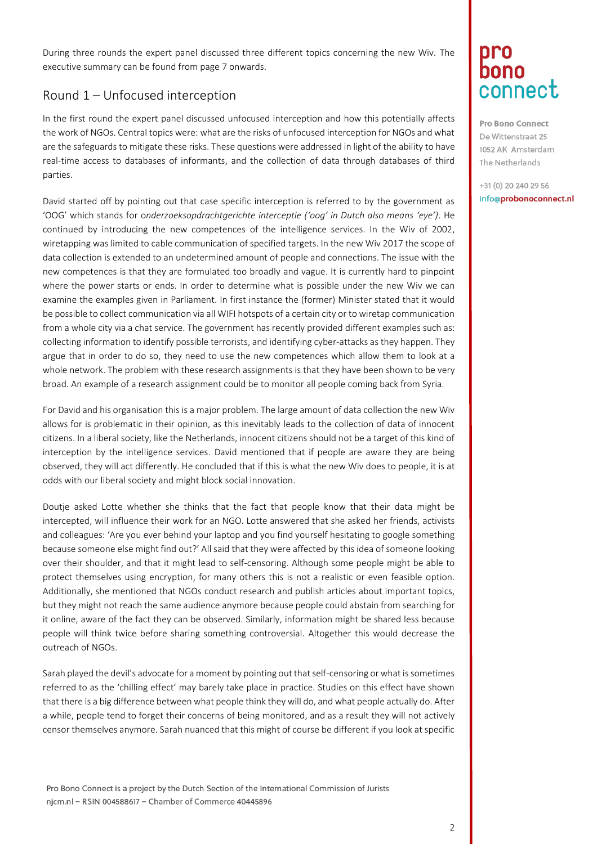During three rounds the expert panel discussed three different topics concerning the new Wiv. The executive summary can be found from page 7 onwards.

### Round 1 – Unfocused interception

In the first round the expert panel discussed unfocused interception and how this potentially affects the work of NGOs. Central topics were: what are the risks of unfocused interception for NGOs and what are the safeguards to mitigate these risks. These questions were addressed in light of the ability to have real-time access to databases of informants, and the collection of data through databases of third parties.

David started off by pointing out that case specific interception is referred to by the government as 'OOG' which stands for o*nderzoeksopdrachtgerichte interceptie ('oog' in Dutch also means 'eye')*. He continued by introducing the new competences of the intelligence services. In the Wiv of 2002, wiretapping was limited to cable communication of specified targets. In the new Wiv 2017 the scope of data collection is extended to an undetermined amount of people and connections. The issue with the new competences is that they are formulated too broadly and vague. It is currently hard to pinpoint where the power starts or ends. In order to determine what is possible under the new Wiv we can examine the examples given in Parliament. In first instance the (former) Minister stated that it would be possible to collect communication via all WIFI hotspots of a certain city or to wiretap communication from a whole city via a chat service. The government has recently provided different examples such as: collecting information to identify possible terrorists, and identifying cyber-attacks as they happen. They argue that in order to do so, they need to use the new competences which allow them to look at a whole network. The problem with these research assignments is that they have been shown to be very broad. An example of a research assignment could be to monitor all people coming back from Syria.

For David and his organisation this is a major problem. The large amount of data collection the new Wiv allows for is problematic in their opinion, as this inevitably leads to the collection of data of innocent citizens. In a liberal society, like the Netherlands, innocent citizens should not be a target of this kind of interception by the intelligence services. David mentioned that if people are aware they are being observed, they will act differently. He concluded that if this is what the new Wiv does to people, it is at odds with our liberal society and might block social innovation.

Doutje asked Lotte whether she thinks that the fact that people know that their data might be intercepted, will influence their work for an NGO. Lotte answered that she asked her friends, activists and colleagues: 'Are you ever behind your laptop and you find yourself hesitating to google something because someone else might find out?' All said that they were affected by this idea of someone looking over their shoulder, and that it might lead to self-censoring. Although some people might be able to protect themselves using encryption, for many others this is not a realistic or even feasible option. Additionally, she mentioned that NGOs conduct research and publish articles about important topics, but they might not reach the same audience anymore because people could abstain from searching for it online, aware of the fact they can be observed. Similarly, information might be shared less because people will think twice before sharing something controversial. Altogether this would decrease the outreach of NGOs.

Sarah played the devil's advocate for a moment by pointing out that self-censoring or what is sometimes referred to as the 'chilling effect' may barely take place in practice. Studies on this effect have shown that there is a big difference between what people think they will do, and what people actually do. After a while, people tend to forget their concerns of being monitored, and as a result they will not actively censor themselves anymore. Sarah nuanced that this might of course be different if you look at specific

Pro Bono Connect is a project by the Dutch Section of the International Commission of Jurists njcm.nl - RSIN 004588617 - Chamber of Commerce 40445896

## Dro bono connect

Pro Bono Connect De Wittenstraat 25 1052 AK Amsterdam The Netherlands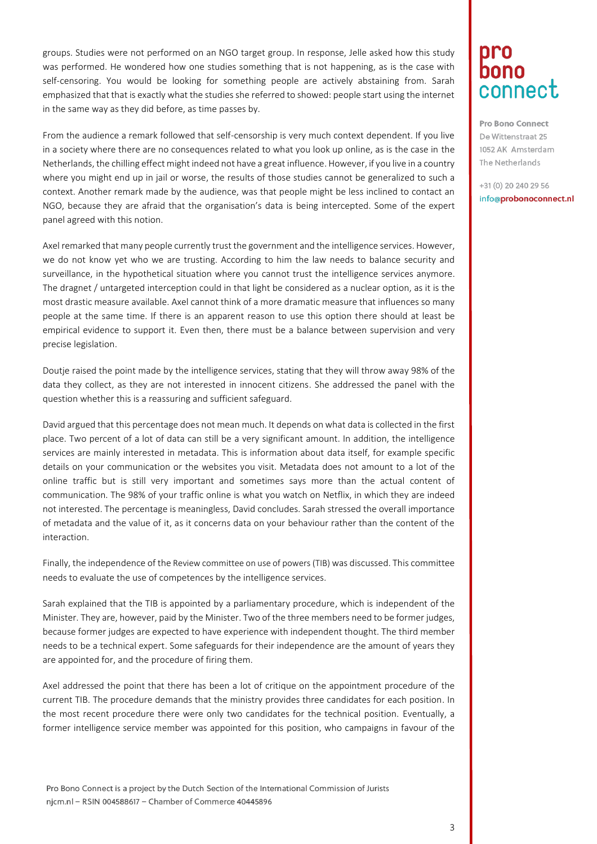groups. Studies were not performed on an NGO target group. In response, Jelle asked how this study was performed. He wondered how one studies something that is not happening, as is the case with self-censoring. You would be looking for something people are actively abstaining from. Sarah emphasized that that is exactly what the studies she referred to showed: people start using the internet in the same way as they did before, as time passes by.

From the audience a remark followed that self-censorship is very much context dependent. If you live in a society where there are no consequences related to what you look up online, as is the case in the Netherlands, the chilling effect might indeed not have a great influence. However, if you live in a country where you might end up in jail or worse, the results of those studies cannot be generalized to such a context. Another remark made by the audience, was that people might be less inclined to contact an NGO, because they are afraid that the organisation's data is being intercepted. Some of the expert panel agreed with this notion.

Axel remarked that many people currently trust the government and the intelligence services. However, we do not know yet who we are trusting. According to him the law needs to balance security and surveillance, in the hypothetical situation where you cannot trust the intelligence services anymore. The dragnet / untargeted interception could in that light be considered as a nuclear option, as it is the most drastic measure available. Axel cannot think of a more dramatic measure that influences so many people at the same time. If there is an apparent reason to use this option there should at least be empirical evidence to support it. Even then, there must be a balance between supervision and very precise legislation.

Doutje raised the point made by the intelligence services, stating that they will throw away 98% of the data they collect, as they are not interested in innocent citizens. She addressed the panel with the question whether this is a reassuring and sufficient safeguard.

David argued that this percentage does not mean much. It depends on what data is collected in the first place. Two percent of a lot of data can still be a very significant amount. In addition, the intelligence services are mainly interested in metadata. This is information about data itself, for example specific details on your communication or the websites you visit. Metadata does not amount to a lot of the online traffic but is still very important and sometimes says more than the actual content of communication. The 98% of your traffic online is what you watch on Netflix, in which they are indeed not interested. The percentage is meaningless, David concludes. Sarah stressed the overall importance of metadata and the value of it, as it concerns data on your behaviour rather than the content of the interaction.

Finally, the independence of the Review committee on use of powers (TIB) was discussed. This committee needs to evaluate the use of competences by the intelligence services.

Sarah explained that the TIB is appointed by a parliamentary procedure, which is independent of the Minister. They are, however, paid by the Minister. Two of the three members need to be former judges, because former judges are expected to have experience with independent thought. The third member needs to be a technical expert. Some safeguards for their independence are the amount of years they are appointed for, and the procedure of firing them.

Axel addressed the point that there has been a lot of critique on the appointment procedure of the current TIB. The procedure demands that the ministry provides three candidates for each position. In the most recent procedure there were only two candidates for the technical position. Eventually, a former intelligence service member was appointed for this position, who campaigns in favour of the

Pro Bono Connect is a project by the Dutch Section of the International Commission of Jurists njcm.nl - RSIN 004588617 - Chamber of Commerce 40445896

## Dro bono connect

Pro Bono Connect De Wittenstraat 25 1052 AK Amsterdam The Netherlands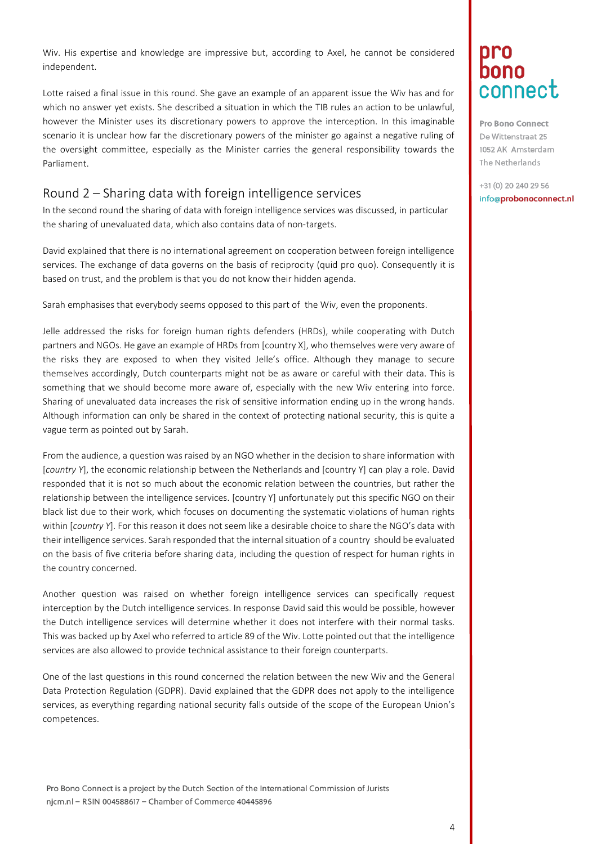Wiv. His expertise and knowledge are impressive but, according to Axel, he cannot be considered independent.

Lotte raised a final issue in this round. She gave an example of an apparent issue the Wiv has and for which no answer yet exists. She described a situation in which the TIB rules an action to be unlawful, however the Minister uses its discretionary powers to approve the interception. In this imaginable scenario it is unclear how far the discretionary powers of the minister go against a negative ruling of the oversight committee, especially as the Minister carries the general responsibility towards the Parliament.

#### Round 2 – Sharing data with foreign intelligence services

In the second round the sharing of data with foreign intelligence services was discussed, in particular the sharing of unevaluated data, which also contains data of non-targets.

David explained that there is no international agreement on cooperation between foreign intelligence services. The exchange of data governs on the basis of reciprocity (quid pro quo). Consequently it is based on trust, and the problem is that you do not know their hidden agenda.

Sarah emphasises that everybody seems opposed to this part of the Wiv, even the proponents.

Jelle addressed the risks for foreign human rights defenders (HRDs), while cooperating with Dutch partners and NGOs. He gave an example of HRDs from [country X], who themselves were very aware of the risks they are exposed to when they visited Jelle's office. Although they manage to secure themselves accordingly, Dutch counterparts might not be as aware or careful with their data. This is something that we should become more aware of, especially with the new Wiv entering into force. Sharing of unevaluated data increases the risk of sensitive information ending up in the wrong hands. Although information can only be shared in the context of protecting national security, this is quite a vague term as pointed out by Sarah.

From the audience, a question was raised by an NGO whether in the decision to share information with [*country Y*], the economic relationship between the Netherlands and [country Y] can play a role. David responded that it is not so much about the economic relation between the countries, but rather the relationship between the intelligence services. [country Y] unfortunately put this specific NGO on their black list due to their work, which focuses on documenting the systematic violations of human rights within [*country Y*]. For this reason it does not seem like a desirable choice to share the NGO's data with their intelligence services. Sarah responded that the internal situation of a country should be evaluated on the basis of five criteria before sharing data, including the question of respect for human rights in the country concerned.

Another question was raised on whether foreign intelligence services can specifically request interception by the Dutch intelligence services. In response David said this would be possible, however the Dutch intelligence services will determine whether it does not interfere with their normal tasks. This was backed up by Axel who referred to article 89 of the Wiv. Lotte pointed out that the intelligence services are also allowed to provide technical assistance to their foreign counterparts.

One of the last questions in this round concerned the relation between the new Wiv and the General Data Protection Regulation (GDPR). David explained that the GDPR does not apply to the intelligence services, as everything regarding national security falls outside of the scope of the European Union's competences.

# Dro bono connect

Pro Bono Connect De Wittenstraat 25 1052 AK Amsterdam The Netherlands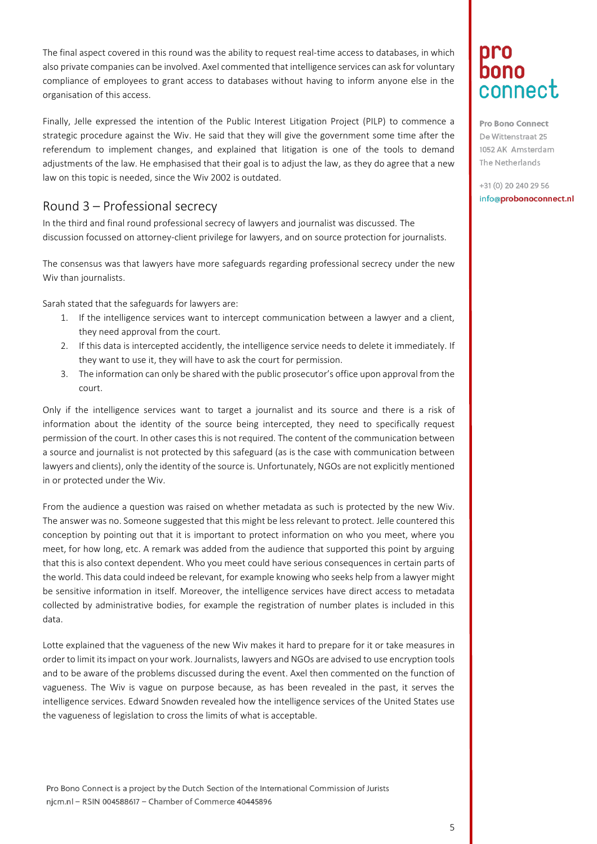The final aspect covered in this round was the ability to request real-time access to databases, in which also private companies can be involved. Axel commented that intelligence services can ask for voluntary compliance of employees to grant access to databases without having to inform anyone else in the organisation of this access.

Finally, Jelle expressed the intention of the Public Interest Litigation Project (PILP) to commence a strategic procedure against the Wiv. He said that they will give the government some time after the referendum to implement changes, and explained that litigation is one of the tools to demand adjustments of the law. He emphasised that their goal is to adjust the law, as they do agree that a new law on this topic is needed, since the Wiv 2002 is outdated.

### Round 3 – Professional secrecy

In the third and final round professional secrecy of lawyers and journalist was discussed. The discussion focussed on attorney-client privilege for lawyers, and on source protection for journalists.

The consensus was that lawyers have more safeguards regarding professional secrecy under the new Wiv than journalists.

Sarah stated that the safeguards for lawyers are:

- 1. If the intelligence services want to intercept communication between a lawyer and a client, they need approval from the court.
- 2. If this data is intercepted accidently, the intelligence service needs to delete it immediately. If they want to use it, they will have to ask the court for permission.
- 3. The information can only be shared with the public prosecutor's office upon approval from the court.

Only if the intelligence services want to target a journalist and its source and there is a risk of information about the identity of the source being intercepted, they need to specifically request permission of the court. In other cases this is not required. The content of the communication between a source and journalist is not protected by this safeguard (as is the case with communication between lawyers and clients), only the identity of the source is. Unfortunately, NGOs are not explicitly mentioned in or protected under the Wiv.

From the audience a question was raised on whether metadata as such is protected by the new Wiv. The answer was no. Someone suggested that this might be less relevant to protect. Jelle countered this conception by pointing out that it is important to protect information on who you meet, where you meet, for how long, etc. A remark was added from the audience that supported this point by arguing that this is also context dependent. Who you meet could have serious consequences in certain parts of the world. This data could indeed be relevant, for example knowing who seeks help from a lawyer might be sensitive information in itself. Moreover, the intelligence services have direct access to metadata collected by administrative bodies, for example the registration of number plates is included in this data.

Lotte explained that the vagueness of the new Wiv makes it hard to prepare for it or take measures in order to limit its impact on your work. Journalists, lawyers and NGOs are advised to use encryption tools and to be aware of the problems discussed during the event. Axel then commented on the function of vagueness. The Wiv is vague on purpose because, as has been revealed in the past, it serves the intelligence services. Edward Snowden revealed how the intelligence services of the United States use the vagueness of legislation to cross the limits of what is acceptable.

# Dro bono connect

Pro Bono Connect De Wittenstraat 25 1052 AK Amsterdam The Netherlands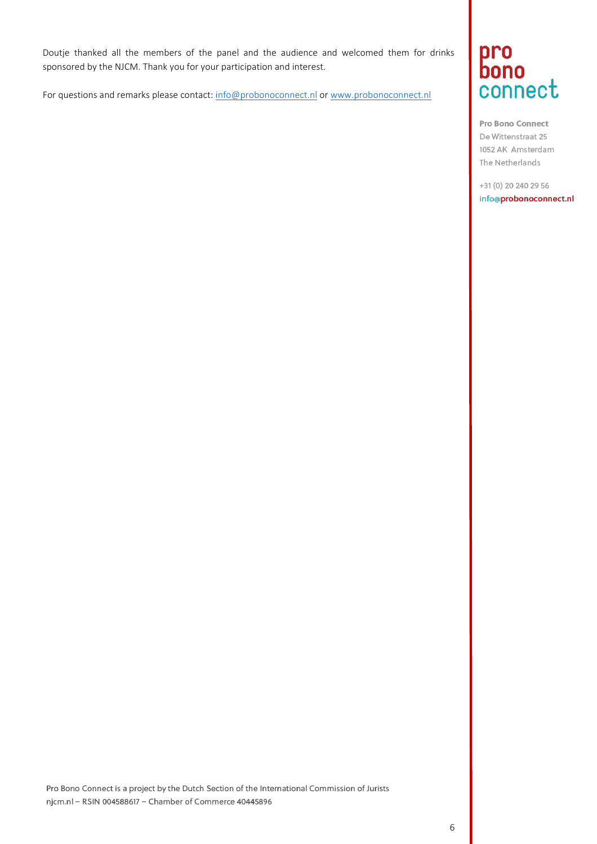Doutje thanked all the members of the panel and the audience and welcomed them for drinks sponsored by the NJCM. Thank you for your participation and interest.

For questions and remarks please contact: [info@probonoconnect.nl](mailto:info@probonoconnect.nl) o[r www.probonoconnect.nl](http://www.probonoconnect.nl/)

# pro<br>bono connect

Pro Bono Connect De Wittenstraat 25 1052 AK Amsterdam The Netherlands

+31 (0) 20 240 29 56 info@probonoconnect.nl

Pro Bono Connect is a project by the Dutch Section of the International Commission of Jurists njcm.nl - RSIN 004588617 - Chamber of Commerce 40445896